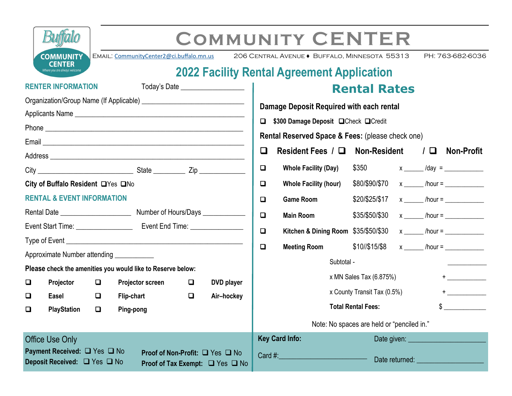|                                                                                                                                                     |                           |                                          |                         |   |                                                                                                                                                                                                                                                          |                                                                  | <b>COMMUNITY CENTER</b>                           |                                                |  |  |                                                                                                                 |
|-----------------------------------------------------------------------------------------------------------------------------------------------------|---------------------------|------------------------------------------|-------------------------|---|----------------------------------------------------------------------------------------------------------------------------------------------------------------------------------------------------------------------------------------------------------|------------------------------------------------------------------|---------------------------------------------------|------------------------------------------------|--|--|-----------------------------------------------------------------------------------------------------------------|
|                                                                                                                                                     | <b>COMMUNITY</b>          | EMAIL: CommunityCenter2@ci.buffalo.mn.us |                         |   |                                                                                                                                                                                                                                                          |                                                                  | 206 CENTRAL AVENUE · BUFFALO, MINNESOTA 55313     |                                                |  |  | PH: 763-682-6036                                                                                                |
|                                                                                                                                                     | <b>CENTER</b>             |                                          |                         |   |                                                                                                                                                                                                                                                          |                                                                  | <b>2022 Facility Rental Agreement Application</b> |                                                |  |  |                                                                                                                 |
|                                                                                                                                                     | <b>RENTER INFORMATION</b> |                                          |                         |   | Today's Date ____________________                                                                                                                                                                                                                        |                                                                  |                                                   | <b>Rental Rates</b>                            |  |  |                                                                                                                 |
|                                                                                                                                                     |                           |                                          |                         |   |                                                                                                                                                                                                                                                          |                                                                  |                                                   |                                                |  |  |                                                                                                                 |
|                                                                                                                                                     |                           |                                          |                         |   | Damage Deposit Required with each rental                                                                                                                                                                                                                 |                                                                  |                                                   |                                                |  |  |                                                                                                                 |
|                                                                                                                                                     |                           |                                          |                         |   | □ \$300 Damage Deposit □ Check □ Credit                                                                                                                                                                                                                  |                                                                  |                                                   |                                                |  |  |                                                                                                                 |
|                                                                                                                                                     |                           |                                          |                         |   | Rental Reserved Space & Fees: (please check one)                                                                                                                                                                                                         |                                                                  |                                                   |                                                |  |  |                                                                                                                 |
|                                                                                                                                                     |                           |                                          |                         |   |                                                                                                                                                                                                                                                          | $\Box$                                                           | Resident Fees $/\Box$ Non-Resident                |                                                |  |  | $\Box$ Non-Profit                                                                                               |
|                                                                                                                                                     |                           |                                          |                         |   |                                                                                                                                                                                                                                                          | $\Box$                                                           | <b>Whole Facility (Day)</b>                       |                                                |  |  |                                                                                                                 |
| City of Buffalo Resident LYes LNo                                                                                                                   |                           |                                          |                         |   |                                                                                                                                                                                                                                                          | $\Box$                                                           | <b>Whole Facility (hour)</b>                      | $$80/\$90/\$70$ x ______ /hour = _____________ |  |  |                                                                                                                 |
| <b>RENTAL &amp; EVENT INFORMATION</b>                                                                                                               |                           |                                          |                         |   | $\Box$                                                                                                                                                                                                                                                   | <b>Game Room</b>                                                 |                                                   |                                                |  |  |                                                                                                                 |
|                                                                                                                                                     |                           |                                          |                         |   | $\Box$                                                                                                                                                                                                                                                   | <b>Main Room</b>                                                 | $$35/\$50/\$30$ x ______ /hour = _____________    |                                                |  |  |                                                                                                                 |
| Event Start Time: _________________<br>Event End Time: ________________                                                                             |                           |                                          |                         |   | $\Box$                                                                                                                                                                                                                                                   | Kitchen & Dining Room \$35/\$50/\$30 x _____ /hour = ___________ |                                                   |                                                |  |  |                                                                                                                 |
|                                                                                                                                                     |                           |                                          |                         |   | $\Box$                                                                                                                                                                                                                                                   | <b>Meeting Room</b>                                              | $$10//$15/\$8$ x hour =                           |                                                |  |  |                                                                                                                 |
| Approximate Number attending ____________                                                                                                           |                           |                                          |                         |   |                                                                                                                                                                                                                                                          |                                                                  |                                                   |                                                |  |  |                                                                                                                 |
| Please check the amenities you would like to Reserve below:                                                                                         |                           |                                          |                         |   |                                                                                                                                                                                                                                                          |                                                                  | Subtotal -                                        |                                                |  |  |                                                                                                                 |
| $\Box$                                                                                                                                              | Projector                 | $\Box$                                   | <b>Projector screen</b> | O | DVD player                                                                                                                                                                                                                                               |                                                                  |                                                   | x MN Sales Tax (6.875%)                        |  |  | $+ \underbrace{\phantom{aaaaa}}_{\textcolor{blue}{aaaa}} \underbrace{\phantom{aaaaa}}_{\textcolor{blue}{aaaa}}$ |
| ❏                                                                                                                                                   | Easel                     | $\Box$                                   | <b>Flip-chart</b>       | □ | Air-hockey                                                                                                                                                                                                                                               |                                                                  |                                                   | x County Transit Tax (0.5%)                    |  |  |                                                                                                                 |
| □                                                                                                                                                   | <b>PlayStation</b>        | □                                        | Ping-pong               |   |                                                                                                                                                                                                                                                          |                                                                  |                                                   | <b>Total Rental Fees:</b>                      |  |  | $\frac{1}{2}$                                                                                                   |
|                                                                                                                                                     |                           |                                          |                         |   |                                                                                                                                                                                                                                                          |                                                                  |                                                   | Note: No spaces are held or "penciled in."     |  |  |                                                                                                                 |
|                                                                                                                                                     | <b>Office Use Only</b>    |                                          |                         |   |                                                                                                                                                                                                                                                          |                                                                  | <b>Key Card Info:</b>                             |                                                |  |  |                                                                                                                 |
| Payment Received: □ Yes □ No<br>Proof of Non-Profit: □ Yes □ No<br>Deposit Received: □ Yes □ No<br><b>Proof of Tax Exempt:</b> $\Box$ Yes $\Box$ No |                           |                                          |                         |   | Card #: $\qquad \qquad$<br>Date returned: Website and the control of the control of the control of the control of the control of the control of the control of the control of the control of the control of the control of the control of the control of |                                                                  |                                                   |                                                |  |  |                                                                                                                 |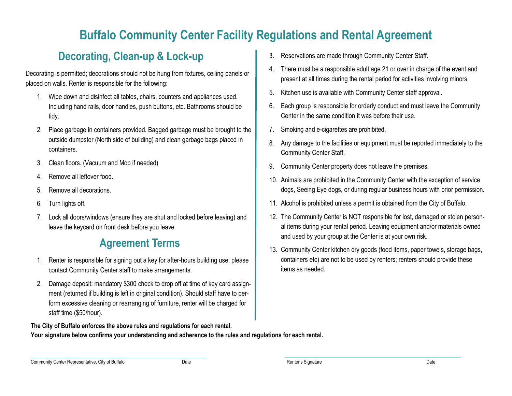# **Buffalo Community Center Facility Regulations and Rental Agreement**

#### **Decorating, Clean-up & Lock-up**

Decorating is permitted; decorations should not be hung from fixtures, ceiling panels or placed on walls. Renter is responsible for the following:

- 1. Wipe down and disinfect all tables, chairs, counters and appliances used. Including hand rails, door handles, push buttons, etc. Bathrooms should be tidy.
- 2. Place garbage in containers provided. Bagged garbage must be brought to the outside dumpster (North side of building) and clean garbage bags placed in containers.
- 3. Clean floors. (Vacuum and Mop if needed)
- 4. Remove all leftover food.
- 5. Remove all decorations.
- 6. Turn lights off.
- 7. Lock all doors/windows (ensure they are shut and locked before leaving) and leave the keycard on front desk before you leave.

### **Agreement Terms**

- 1. Renter is responsible for signing out a key for after-hours building use; please contact Community Center staff to make arrangements.
- 2. Damage deposit: mandatory \$300 check to drop off at time of key card assignment (returned if building is left in original condition). Should staff have to perform excessive cleaning or rearranging of furniture, renter will be charged for staff time (\$50/hour).

#### **The City of Buffalo enforces the above rules and regulations for each rental.**

**Your signature below confirms your understanding and adherence to the rules and regulations for each rental.**

- 3. Reservations are made through Community Center Staff.
- 4. There must be a responsible adult age 21 or over in charge of the event and present at all times during the rental period for activities involving minors.
- 5. Kitchen use is available with Community Center staff approval.
- 6. Each group is responsible for orderly conduct and must leave the Community Center in the same condition it was before their use.
- 7. Smoking and e-cigarettes are prohibited.
- 8. Any damage to the facilities or equipment must be reported immediately to the Community Center Staff.
- 9. Community Center property does not leave the premises.
- 10. Animals are prohibited in the Community Center with the exception of service dogs, Seeing Eye dogs, or during regular business hours with prior permission.
- 11. Alcohol is prohibited unless a permit is obtained from the City of Buffalo.
- 12. The Community Center is NOT responsible for lost, damaged or stolen personal items during your rental period. Leaving equipment and/or materials owned and used by your group at the Center is at your own risk.
- 13. Community Center kitchen dry goods (food items, paper towels, storage bags, containers etc) are not to be used by renters; renters should provide these items as needed.